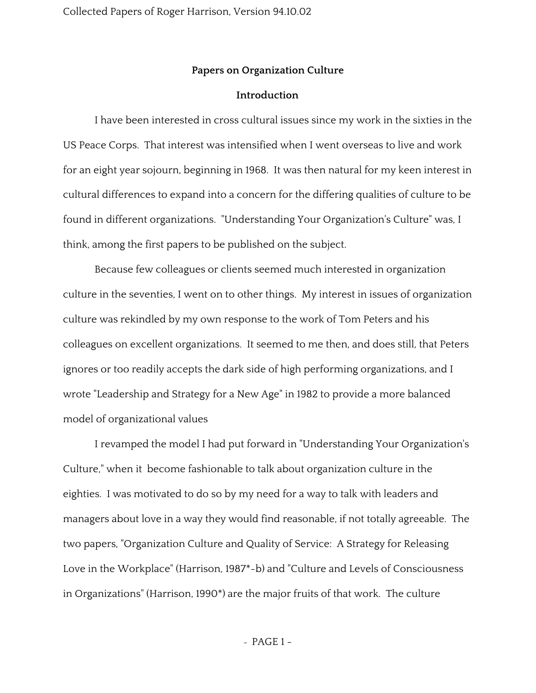## **Papers on Organization Culture**

## **Introduction**

I have been interested in cross cultural issues since my work in the sixties in the US Peace Corps. That interest was intensified when I went overseas to live and work for an eight year sojourn, beginning in 1968. It was then natural for my keen interest in cultural differences to expand into a concern for the differing qualities of culture to be found in different organizations. "Understanding Your Organization's Culture" was, I think, among the first papers to be published on the subject.

Because few colleagues or clients seemed much interested in organization culture in the seventies, I went on to other things. My interest in issues of organization culture was rekindled by my own response to the work of Tom Peters and his colleagues on excellent organizations. It seemed to me then, and does still, that Peters ignores or too readily accepts the dark side of high performing organizations, and I wrote "Leadership and Strategy for a New Age" in 1982 to provide a more balanced model of organizational values

I revamped the model I had put forward in "Understanding Your Organization's Culture," when it become fashionable to talk about organization culture in the eighties. I was motivated to do so by my need for a way to talk with leaders and managers about love in a way they would find reasonable, if not totally agreeable. The two papers, "Organization Culture and Quality of Service: A Strategy for Releasing Love in the Workplace" (Harrison, 1987\*-b) and "Culture and Levels of Consciousness in Organizations" (Harrison, 1990\*) are the major fruits of that work. The culture